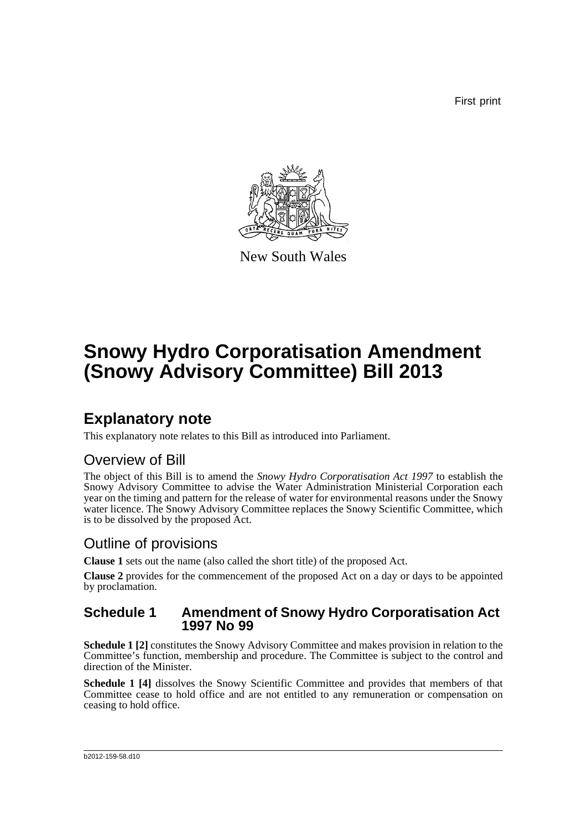First print



New South Wales

# **Snowy Hydro Corporatisation Amendment (Snowy Advisory Committee) Bill 2013**

### **Explanatory note**

This explanatory note relates to this Bill as introduced into Parliament.

### Overview of Bill

The object of this Bill is to amend the *Snowy Hydro Corporatisation Act 1997* to establish the Snowy Advisory Committee to advise the Water Administration Ministerial Corporation each year on the timing and pattern for the release of water for environmental reasons under the Snowy water licence. The Snowy Advisory Committee replaces the Snowy Scientific Committee, which is to be dissolved by the proposed Act.

### Outline of provisions

**Clause 1** sets out the name (also called the short title) of the proposed Act.

**Clause 2** provides for the commencement of the proposed Act on a day or days to be appointed by proclamation.

#### **Schedule 1 Amendment of Snowy Hydro Corporatisation Act 1997 No 99**

**Schedule 1 [2]** constitutes the Snowy Advisory Committee and makes provision in relation to the Committee's function, membership and procedure. The Committee is subject to the control and direction of the Minister.

**Schedule 1 [4]** dissolves the Snowy Scientific Committee and provides that members of that Committee cease to hold office and are not entitled to any remuneration or compensation on ceasing to hold office.

#### b2012-159-58.d10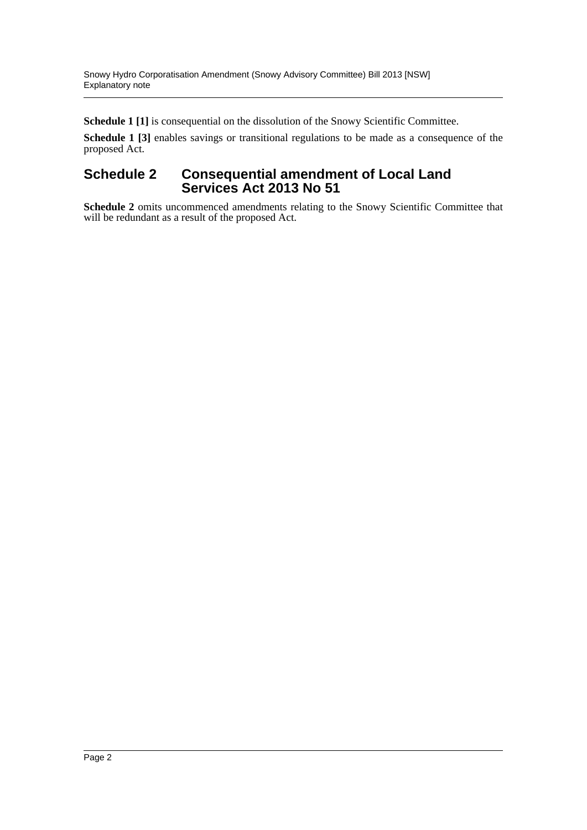**Schedule 1 [1]** is consequential on the dissolution of the Snowy Scientific Committee.

**Schedule 1 [3]** enables savings or transitional regulations to be made as a consequence of the proposed Act.

#### **Schedule 2 Consequential amendment of Local Land Services Act 2013 No 51**

**Schedule 2** omits uncommenced amendments relating to the Snowy Scientific Committee that will be redundant as a result of the proposed Act.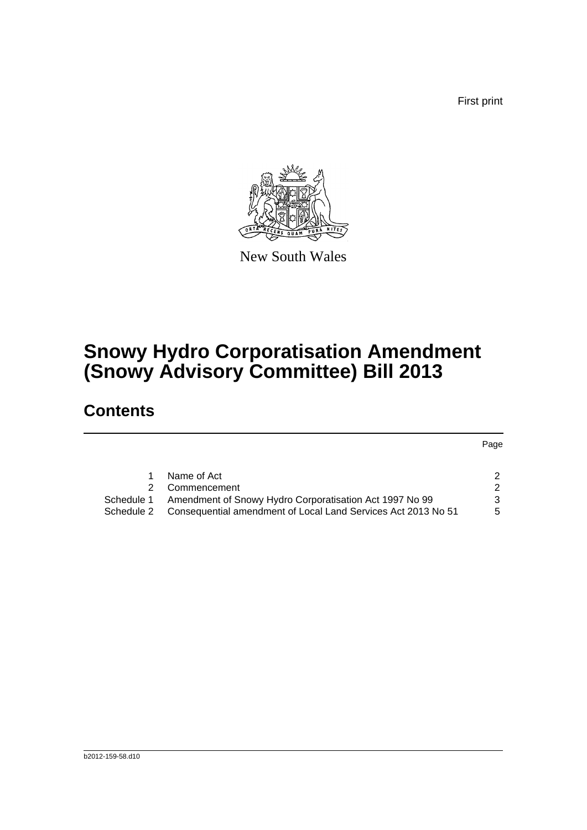First print



New South Wales

# **Snowy Hydro Corporatisation Amendment (Snowy Advisory Committee) Bill 2013**

### **Contents**

Page

|            | Name of Act                                                              |    |
|------------|--------------------------------------------------------------------------|----|
|            | 2 Commencement                                                           | 2  |
| Schedule 1 | Amendment of Snowy Hydro Corporatisation Act 1997 No 99                  | 3  |
|            | Schedule 2 Consequential amendment of Local Land Services Act 2013 No 51 | 5. |
|            |                                                                          |    |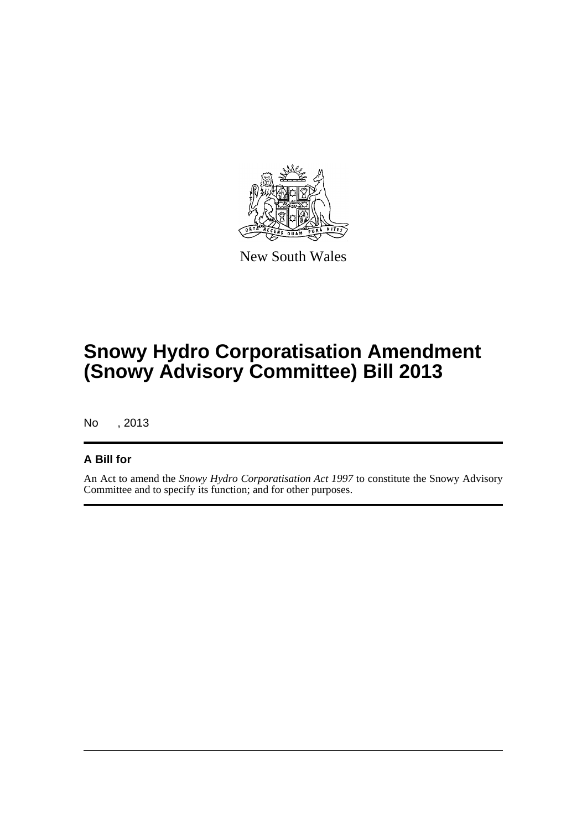

New South Wales

# **Snowy Hydro Corporatisation Amendment (Snowy Advisory Committee) Bill 2013**

No , 2013

#### **A Bill for**

An Act to amend the *Snowy Hydro Corporatisation Act 1997* to constitute the Snowy Advisory Committee and to specify its function; and for other purposes.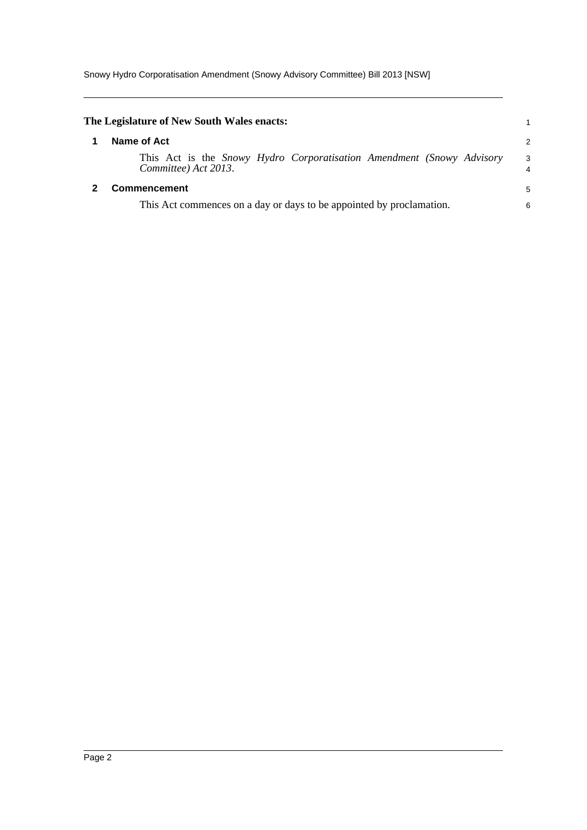<span id="page-4-1"></span><span id="page-4-0"></span>

| The Legislature of New South Wales enacts:                                                    |        |  |  |  |
|-----------------------------------------------------------------------------------------------|--------|--|--|--|
| Name of Act                                                                                   | 2      |  |  |  |
| This Act is the Snowy Hydro Corporatisation Amendment (Snowy Advisory<br>Committee) Act 2013. | 3<br>4 |  |  |  |
| <b>Commencement</b>                                                                           | 5      |  |  |  |
| This Act commences on a day or days to be appointed by proclamation.                          |        |  |  |  |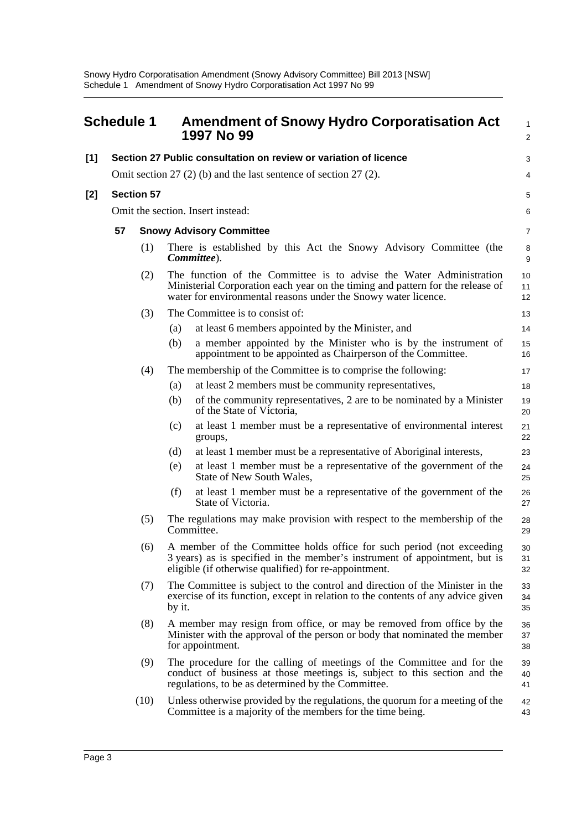<span id="page-5-0"></span>

| <b>Schedule 1</b> |                                                                  |      | <b>Amendment of Snowy Hydro Corporatisation Act</b><br>1997 No 99 | 1<br>$\overline{2}$                                                                                                                                                                                                     |                |
|-------------------|------------------------------------------------------------------|------|-------------------------------------------------------------------|-------------------------------------------------------------------------------------------------------------------------------------------------------------------------------------------------------------------------|----------------|
| $[1]$             |                                                                  |      |                                                                   | Section 27 Public consultation on review or variation of licence                                                                                                                                                        | 3              |
|                   | Omit section 27 (2) (b) and the last sentence of section 27 (2). |      |                                                                   |                                                                                                                                                                                                                         | 4              |
| $[2]$             | <b>Section 57</b>                                                |      |                                                                   |                                                                                                                                                                                                                         | 5              |
|                   |                                                                  |      |                                                                   | Omit the section. Insert instead:                                                                                                                                                                                       | 6              |
|                   | 57                                                               |      | <b>Snowy Advisory Committee</b>                                   |                                                                                                                                                                                                                         |                |
|                   |                                                                  | (1)  |                                                                   | There is established by this Act the Snowy Advisory Committee (the<br>Committee).                                                                                                                                       | 8<br>9         |
|                   |                                                                  | (2)  |                                                                   | The function of the Committee is to advise the Water Administration<br>Ministerial Corporation each year on the timing and pattern for the release of<br>water for environmental reasons under the Snowy water licence. | 10<br>11<br>12 |
|                   |                                                                  | (3)  |                                                                   | The Committee is to consist of:                                                                                                                                                                                         | 13             |
|                   |                                                                  |      | (a)                                                               | at least 6 members appointed by the Minister, and                                                                                                                                                                       | 14             |
|                   |                                                                  |      | (b)                                                               | a member appointed by the Minister who is by the instrument of<br>appointment to be appointed as Chairperson of the Committee.                                                                                          | 15<br>16       |
|                   |                                                                  | (4)  |                                                                   | The membership of the Committee is to comprise the following:                                                                                                                                                           | 17             |
|                   |                                                                  |      | (a)                                                               | at least 2 members must be community representatives,                                                                                                                                                                   | 18             |
|                   |                                                                  |      | (b)                                                               | of the community representatives, 2 are to be nominated by a Minister<br>of the State of Victoria,                                                                                                                      | 19<br>20       |
|                   |                                                                  |      | (c)                                                               | at least 1 member must be a representative of environmental interest<br>groups,                                                                                                                                         | 21<br>22       |
|                   |                                                                  |      | (d)                                                               | at least 1 member must be a representative of Aboriginal interests,                                                                                                                                                     | 23             |
|                   |                                                                  |      | (e)                                                               | at least 1 member must be a representative of the government of the<br>State of New South Wales,                                                                                                                        | 24<br>25       |
|                   |                                                                  |      | (f)                                                               | at least 1 member must be a representative of the government of the<br>State of Victoria.                                                                                                                               | 26<br>27       |
|                   |                                                                  | (5)  |                                                                   | The regulations may make provision with respect to the membership of the<br>Committee.                                                                                                                                  | 28<br>29       |
|                   |                                                                  | (6)  |                                                                   | A member of the Committee holds office for such period (not exceeding<br>3 years) as is specified in the member's instrument of appointment, but is<br>eligible (if otherwise qualified) for re-appointment.            | 30<br>31<br>32 |
|                   |                                                                  | (7)  | by it.                                                            | The Committee is subject to the control and direction of the Minister in the<br>exercise of its function, except in relation to the contents of any advice given                                                        | 33<br>34<br>35 |
|                   |                                                                  | (8)  |                                                                   | A member may resign from office, or may be removed from office by the<br>Minister with the approval of the person or body that nominated the member<br>for appointment.                                                 | 36<br>37<br>38 |
|                   |                                                                  | (9)  |                                                                   | The procedure for the calling of meetings of the Committee and for the<br>conduct of business at those meetings is, subject to this section and the<br>regulations, to be as determined by the Committee.               | 39<br>40<br>41 |
|                   |                                                                  | (10) |                                                                   | Unless otherwise provided by the regulations, the quorum for a meeting of the<br>Committee is a majority of the members for the time being.                                                                             | 42<br>43       |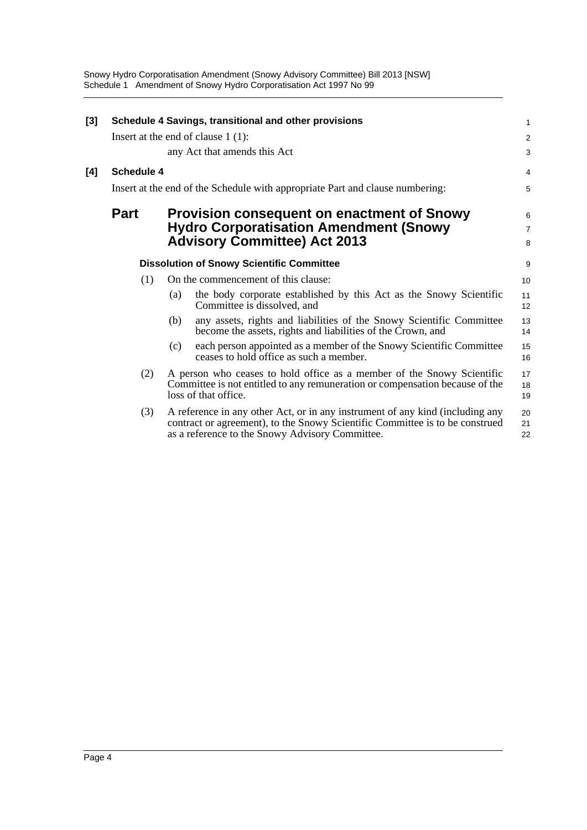Snowy Hydro Corporatisation Amendment (Snowy Advisory Committee) Bill 2013 [NSW] Schedule 1 Amendment of Snowy Hydro Corporatisation Act 1997 No 99

| [3] |             |     | Schedule 4 Savings, transitional and other provisions                                                                                                                                                            | 1              |
|-----|-------------|-----|------------------------------------------------------------------------------------------------------------------------------------------------------------------------------------------------------------------|----------------|
|     |             |     | Insert at the end of clause $1(1)$ :                                                                                                                                                                             | $\overline{c}$ |
|     |             |     | any Act that amends this Act                                                                                                                                                                                     | 3              |
| [4] | Schedule 4  |     |                                                                                                                                                                                                                  | 4              |
|     |             |     | Insert at the end of the Schedule with appropriate Part and clause numbering:                                                                                                                                    | 5              |
|     | <b>Part</b> |     | <b>Provision consequent on enactment of Snowy</b>                                                                                                                                                                | 6              |
|     |             |     | <b>Hydro Corporatisation Amendment (Snowy</b>                                                                                                                                                                    | $\overline{7}$ |
|     |             |     | <b>Advisory Committee) Act 2013</b>                                                                                                                                                                              | 8              |
|     |             |     | <b>Dissolution of Snowy Scientific Committee</b>                                                                                                                                                                 | 9              |
|     | (1)         |     | On the commencement of this clause:                                                                                                                                                                              | 10             |
|     |             | (a) | the body corporate established by this Act as the Snowy Scientific<br>Committee is dissolved, and                                                                                                                | 11<br>12       |
|     |             | (b) | any assets, rights and liabilities of the Snowy Scientific Committee<br>become the assets, rights and liabilities of the Crown, and                                                                              | 13<br>14       |
|     |             | (c) | each person appointed as a member of the Snowy Scientific Committee<br>ceases to hold office as such a member.                                                                                                   | 15<br>16       |
|     | (2)         |     | A person who ceases to hold office as a member of the Snowy Scientific<br>Committee is not entitled to any remuneration or compensation because of the<br>loss of that office.                                   | 17<br>18<br>19 |
|     | (3)         |     | A reference in any other Act, or in any instrument of any kind (including any<br>contract or agreement), to the Snowy Scientific Committee is to be construed<br>as a reference to the Snowy Advisory Committee. | 20<br>21<br>22 |
|     |             |     |                                                                                                                                                                                                                  |                |